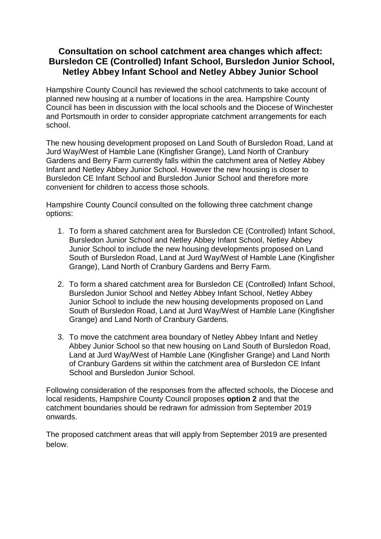## **Consultation on school catchment area changes which affect: Bursledon CE (Controlled) Infant School, Bursledon Junior School, Netley Abbey Infant School and Netley Abbey Junior School**

Hampshire County Council has reviewed the school catchments to take account of planned new housing at a number of locations in the area. Hampshire County Council has been in discussion with the local schools and the Diocese of Winchester and Portsmouth in order to consider appropriate catchment arrangements for each school.

The new housing development proposed on Land South of Bursledon Road, Land at Jurd Way/West of Hamble Lane (Kingfisher Grange), Land North of Cranbury Gardens and Berry Farm currently falls within the catchment area of Netley Abbey Infant and Netley Abbey Junior School. However the new housing is closer to Bursledon CE Infant School and Bursledon Junior School and therefore more convenient for children to access those schools.

Hampshire County Council consulted on the following three catchment change options:

- 1. To form a shared catchment area for Bursledon CE (Controlled) Infant School, Bursledon Junior School and Netley Abbey Infant School, Netley Abbey Junior School to include the new housing developments proposed on Land South of Bursledon Road, Land at Jurd Way/West of Hamble Lane (Kingfisher Grange), Land North of Cranbury Gardens and Berry Farm.
- 2. To form a shared catchment area for Bursledon CE (Controlled) Infant School, Bursledon Junior School and Netley Abbey Infant School, Netley Abbey Junior School to include the new housing developments proposed on Land South of Bursledon Road, Land at Jurd Way/West of Hamble Lane (Kingfisher Grange) and Land North of Cranbury Gardens.
- 3. To move the catchment area boundary of Netley Abbey Infant and Netley Abbey Junior School so that new housing on Land South of Bursledon Road, Land at Jurd Way/West of Hamble Lane (Kingfisher Grange) and Land North of Cranbury Gardens sit within the catchment area of Bursledon CE Infant School and Bursledon Junior School.

Following consideration of the responses from the affected schools, the Diocese and local residents, Hampshire County Council proposes **option 2** and that the catchment boundaries should be redrawn for admission from September 2019 onwards.

The proposed catchment areas that will apply from September 2019 are presented below.